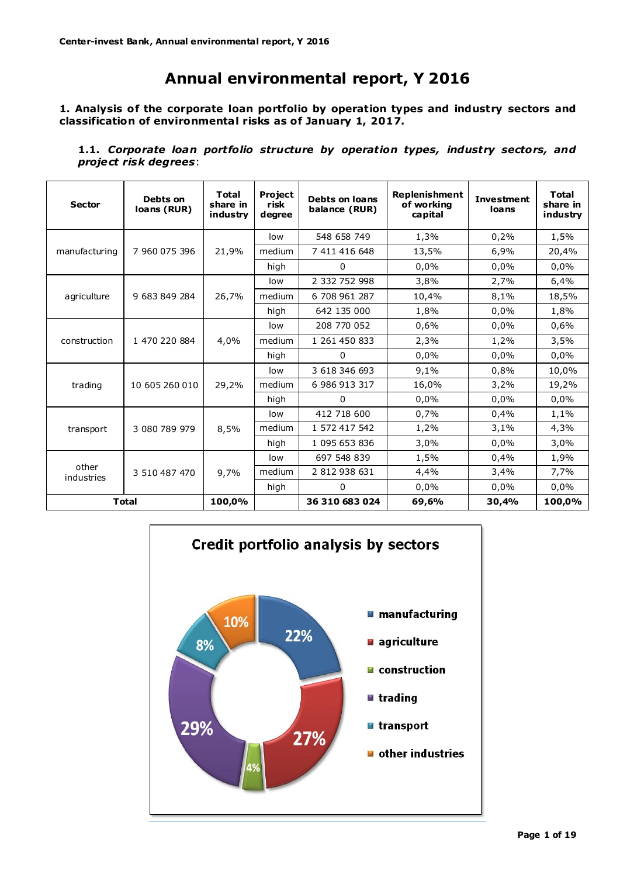# **Annual environmental report, Y 2016**

**1. Analysis of the corporate loan portfolio by operation types and industry sectors and classification of environmenta l risks as of January 1, 2017.**

**1.1.** *Corporate loan portfolio structure by operation types, industry sectors, and project risk degrees*:

| <b>Sector</b>       | Debts on<br>loans (RUR) | <b>Total</b><br>share in<br>industry | <b>Project</b><br>risk<br>degree | Debts on loans<br>balance (RUR) | <b>Replenishment</b><br>of working<br>capital | <b>Investment</b><br>loans | <b>Total</b><br>share in<br>industry |
|---------------------|-------------------------|--------------------------------------|----------------------------------|---------------------------------|-----------------------------------------------|----------------------------|--------------------------------------|
|                     |                         |                                      | low                              | 548 658 749                     | 1,3%                                          | 0,2%                       | 1,5%                                 |
| manufacturing       | 7 960 075 396           | 21,9%                                | medium                           | 7 411 416 648                   | 13,5%                                         | 6,9%                       | 20,4%                                |
|                     |                         |                                      | high                             | 0                               | 0.0%                                          | 0,0%                       | 0.0%                                 |
|                     |                         |                                      | low                              | 2 332 752 998                   | 3,8%                                          | 2,7%                       | 6,4%                                 |
| agriculture         | 9 683 849 284           | 26,7%                                | medium                           | 6 708 961 287                   | 10,4%                                         | 8,1%                       | 18,5%                                |
|                     |                         |                                      | high                             | 642 135 000                     | 1,8%                                          | 0.0%                       | 1,8%                                 |
|                     |                         |                                      | low                              | 208 770 052                     | 0,6%                                          | $0.0\%$                    | 0,6%                                 |
| construction        | 1 470 220 884           | 4,0%                                 | medium                           | 1 261 450 833                   | 2,3%                                          | 1,2%                       | 3,5%                                 |
|                     |                         |                                      | high                             | 0                               | 0,0%                                          | 0.0%                       | 0.0%                                 |
|                     |                         |                                      | low                              | 3 618 346 693                   | 9,1%                                          | 0,8%                       | 10,0%                                |
| trading             | 10 605 260 010          | 29,2%                                | medium                           | 6 986 913 317                   | 16,0%                                         | 3,2%                       | 19,2%                                |
|                     |                         |                                      | high                             | 0                               | 0,0%                                          | 0.0%                       | 0,0%                                 |
|                     |                         |                                      | low                              | 412 718 600                     | 0,7%                                          | 0,4%                       | 1,1%                                 |
| transport           | 3 080 789 979           | 8,5%                                 | medium                           | 1 572 417 542                   | 1,2%                                          | 3,1%                       | 4,3%                                 |
|                     |                         |                                      | high                             | 1 095 653 836                   | 3,0%                                          | 0,0%                       | 3,0%                                 |
|                     |                         |                                      | low                              | 697 548 839                     | 1,5%                                          | 0,4%                       | 1,9%                                 |
| other<br>industries | 3 510 487 470           | 9,7%                                 | medium                           | 2 812 938 631                   | 4,4%                                          | 3,4%                       | 7,7%                                 |
|                     |                         |                                      | high                             | 0                               | 0.0%                                          | 0.0%                       | 0.0%                                 |
|                     | <b>Total</b>            | 100,0%                               |                                  | 36 310 683 024                  | 69,6%                                         | 30,4%                      | 100,0%                               |

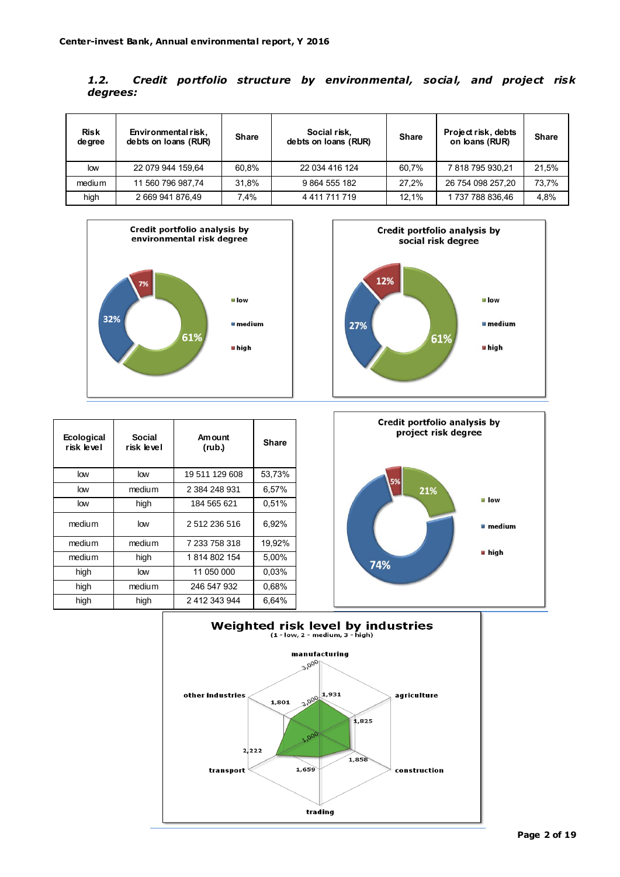| 1.2.     |  |  | Credit portfolio structure by environmental, social, and project risk |  |  |
|----------|--|--|-----------------------------------------------------------------------|--|--|
| degrees: |  |  |                                                                       |  |  |

| <b>Risk</b><br>de gree | Environmental risk,<br>debts on loans (RUR) | <b>Share</b> | Social risk,<br>debts on loans (RUR) | <b>Share</b> | Project risk, debts<br>on loans (RUR) | <b>Share</b> |
|------------------------|---------------------------------------------|--------------|--------------------------------------|--------------|---------------------------------------|--------------|
| low                    | 22 079 944 159.64                           | 60.8%        | 22 034 416 124                       | 60.7%        | 7818795930.21                         | 21.5%        |
| medium                 | 11 560 796 987.74                           | 31.8%        | 9 864 555 182                        | 27.2%        | 26 754 098 257.20                     | 73.7%        |
| high                   | 2 669 941 876.49                            | 7.4%         | 4 4 1 7 7 1 7 7 1 9                  | 12,1%        | 1737788836.46                         | 4.8%         |





| <b>Ecological</b><br>risk level | Social<br>risk level | Am ount<br>(rub.) | <b>Share</b> |
|---------------------------------|----------------------|-------------------|--------------|
| low                             | low                  | 19 511 129 608    | 53,73%       |
| low                             | medium               | 2 384 248 931     | 6,57%        |
| low                             | high                 | 184 565 621       | 0,51%        |
| medium                          | low                  | 2512236516        | 6,92%        |
| medium                          | medium               | 7 233 758 318     | 19,92%       |
| medium                          | high                 | 1814802154        | 5,00%        |
| high                            | low                  | 11 050 000        | 0.03%        |
| high                            | medium               | 246 547 932       | 0,68%        |
| high                            | high                 | 2 412 343 944     | 6,64%        |



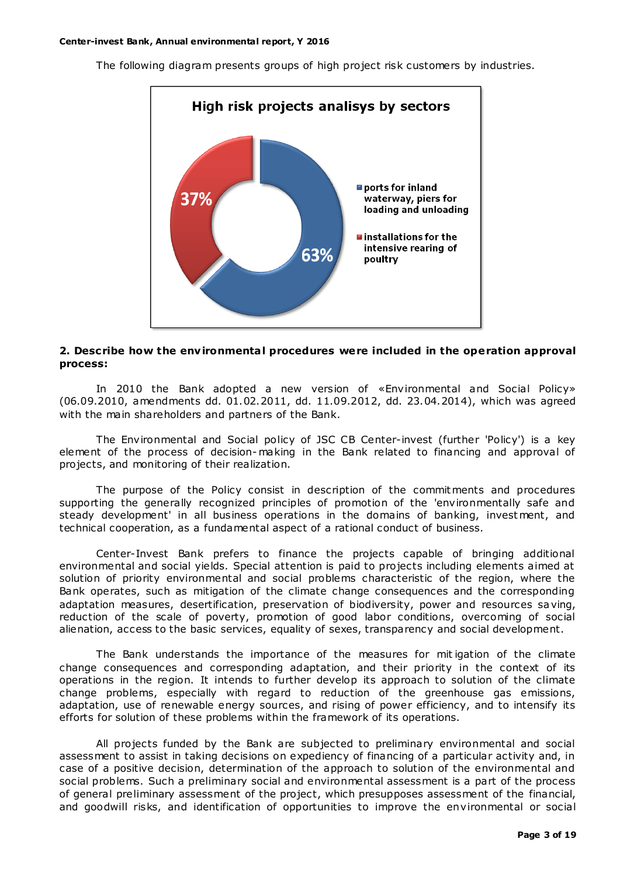The following diagram presents groups of high project risk customers by industries.



#### **2. Describe how the env ironmenta l procedures were included in the operation approval process:**

In 2010 the Bank adopted a new version of «Environmental and Social Policy» (06.09.2010, amendments dd. 01.02.2011, dd. 11.09.2012, dd. 23.04.2014), which was agreed with the main shareholders and partners of the Bank.

The Environmental and Social policy of JSC CB Center-invest (further 'Policy') is a key element of the process of decision- making in the Bank related to financing and approval of projects, and monitoring of their realization.

The purpose of the Policy consist in description of the commitments and procedures supporting the generally recognized principles of promotion of the 'environmentally safe and steady development' in all business operations in the domains of banking, investment, and technical cooperation, as a fundamental aspect of a rational conduct of business.

Center-Invest Bank prefers to finance the projects capable of bringing additional environmental and social yields. Special attention is paid to projects including elements aimed at solution of priority environmental and social problems characteristic of the region, where the Bank operates, such as mitigation of the climate change consequences and the corresponding adaptation measures, desertification, preservation of biodiversity, power and resources sa ving, reduction of the scale of poverty, promotion of good labor conditions, overcoming of social alienation, access to the basic services, equality of sexes, transparency and social development.

The Bank understands the importance of the measures for mit igation of the climate change consequences and corresponding adaptation, and their priority in the context of its operations in the region. It intends to further develop its approach to solution of the climate change problems, especially with regard to reduction of the greenhouse gas emissions, adaptation, use of renewable energy sources, and rising of power efficiency, and to intensify its efforts for solution of these problems within the framework of its operations.

All projects funded by the Bank are subjected to preliminary environmental and social assessment to assist in taking decisions on expediency of financing of a particular activity and, in case of a positive decision, determination of the approach to solution of the environmental and social problems. Such a preliminary social and environmental assessment is a part of the process of general preliminary assessment of the project, which presupposes assessment of the financial, and goodwill risks, and identification of opportunities to improve the environmental or social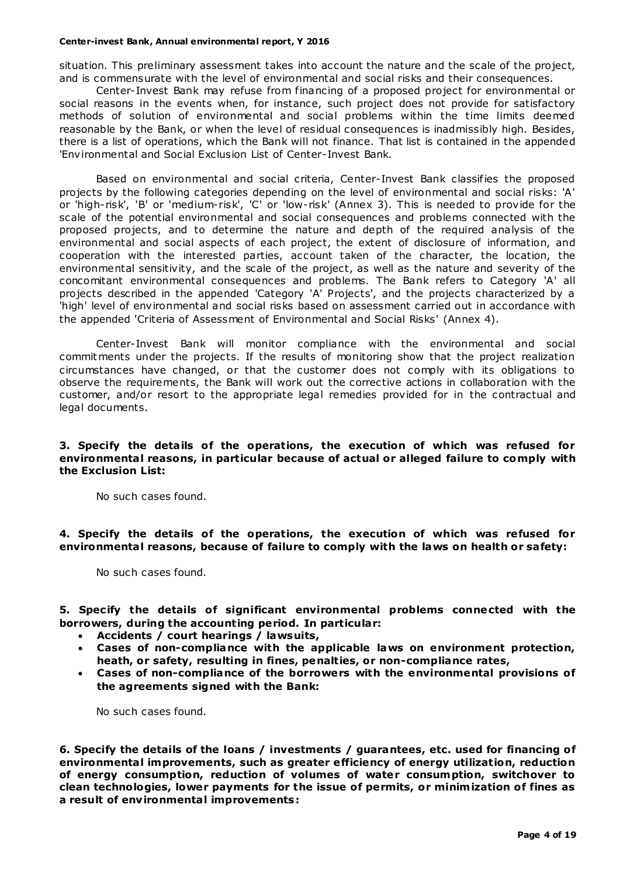situation. This preliminary assessment takes into account the nature and the scale of the project, and is commensurate with the level of environmental and social risks and their consequences.

Center-Invest Bank may refuse from financing of a proposed project for environmental or social reasons in the events when, for instance, such project does not provide for satisfactory methods of solution of environmental and social problems within the time limits deemed reasonable by the Bank, or when the level of residual consequences is inadmissibly high. Besides, there is a list of operations, which the Bank will not finance. That list is contained in the appended 'Environmental and Social Exclusion List of Center-Invest Bank.

Based on environmental and social criteria, Center-Invest Bank classifies the proposed projects by the following categories depending on the level of environmental and social risks: 'A' or 'high-risk', 'B' or 'medium-risk', 'C' or 'low-risk' (Annex 3). This is needed to provide for the scale of the potential environmental and social consequences and problems connected with the proposed projects, and to determine the nature and depth of the required analysis of the environmental and social aspects of each project, the extent of disclosure of information, and cooperation with the interested parties, account taken of the character, the location, the environmental sensitivity, and the scale of the project, as well as the nature and severity of the concomitant environmental consequences and problems. The Bank refers to Category 'A' all projects described in the appended 'Category 'A' Projects', and the projects characterized by a 'high' level of environmental and social risks based on assessment carried out in accordance with the appended 'Criteria of Assessment of Environmental and Social Risks' (Annex 4).

Center-Invest Bank will monitor compliance with the environmental and social commitments under the projects. If the results of monitoring show that the project realization circumstances have changed, or that the customer does not comply with its obligations to observe the requirements, the Bank will work out the corrective actions in collaboration with the customer, and/or resort to the appropriate legal remedies provided for in the contractual and legal documents.

#### **3. Specify the deta ils of the operations, the execution of which was refused for environmenta l reasons, in particular because of actual or alleged failure to comply with the Exclusion List:**

No such cases found.

**4. Specify the deta ils of the operations, the execution of which was refused for environmenta l reasons, because of failure to comply with the laws on health or safety:**

No such cases found.

**5. Spec ify the details of significant environmental problems connected with the borrowers, during the accounting period. In particular:**

- **Accidents / court hearings / lawsuits,**
- **Cases of non-compliance with the applicable laws on environment protection, heath, or safety, resulting in fines, penalties, or non-compliance rates,**
- **Cases of non-compliance of the borrowers with the environmental provisions of the agreements signed with the Bank:**

No such cases found.

**6. Specify the details of the loans / investments / guarantees, etc. used for financing of environmenta l improvements, such as greater efficiency of energy utilization, reduction of energy consumption, reduction of volumes of water consumption, switchover to clean technologies, lower payments for the issue of permits, or minim ization of fines as a result of env ironmenta l improvements:**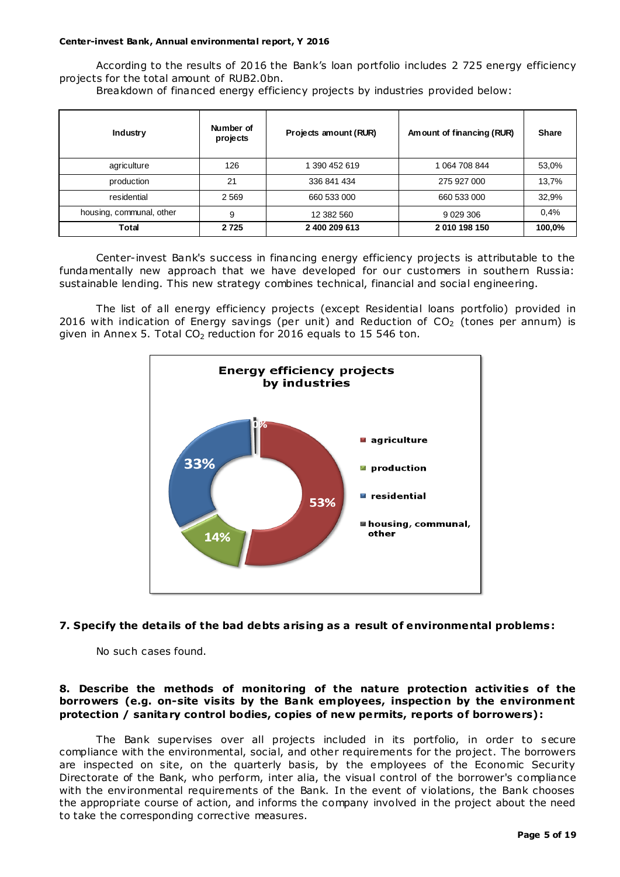According to the results of 2016 the Bank's loan portfolio includes 2 725 energy efficiency projects for the total amount of RUB2.0bn.

Breakdown of financed energy efficiency projects by industries provided below:

| <b>Industry</b>          | Number of<br>projects | Projects amount (RUR) | Amount of financing (RUR) | <b>Share</b> |
|--------------------------|-----------------------|-----------------------|---------------------------|--------------|
| agriculture              | 126                   | 390 452 619           | 1 064 708 844             | 53,0%        |
| production               | 21                    | 336 841 434           | 275 927 000               | 13,7%        |
| residential              | 2 5 6 9               | 660 533 000           | 660 533 000               | 32,9%        |
| housing, communal, other | 9                     | 12 382 560            | 9 0 29 30 6               | 0,4%         |
| <b>Total</b>             | 2725                  | 2 400 209 613         | 2 010 198 150             | 100,0%       |

Center-invest Bank's success in financing energy efficiency projects is attributable to the fundamentally new approach that we have developed for our customers in southern Russia: sustainable lending. This new strategy combines technical, financial and social engineering.

The list of all energy efficiency projects (except Residential loans portfolio) provided in 2016 with indication of Energy savings (per unit) and Reduction of  $CO<sub>2</sub>$  (tones per annum) is given in Annex 5. Total  $CO<sub>2</sub>$  reduction for 2016 equals to 15 546 ton.



# **7. Specify the deta ils of the bad debts aris ing as a result of environmental problems:**

No such cases found.

# **8. Describe the methods of monitoring of the nature protection activ ities of the**  borrowers (e.g. on-site visits by the Bank employees, inspection by the environment **protection / sanitary control bodies, copies of new permits, reports of borrowers):**

The Bank supervises over all projects included in its portfolio, in order to secure compliance with the environmental, social, and other requirements for the project. The borrowers are inspected on site, on the quarterly basis, by the employees of the Economic Security Directorate of the Bank, who perform, inter alia, the visual control of the borrower's compliance with the environmental requirements of the Bank. In the event of violations, the Bank chooses the appropriate course of action, and informs the company involved in the project about the need to take the corresponding corrective measures.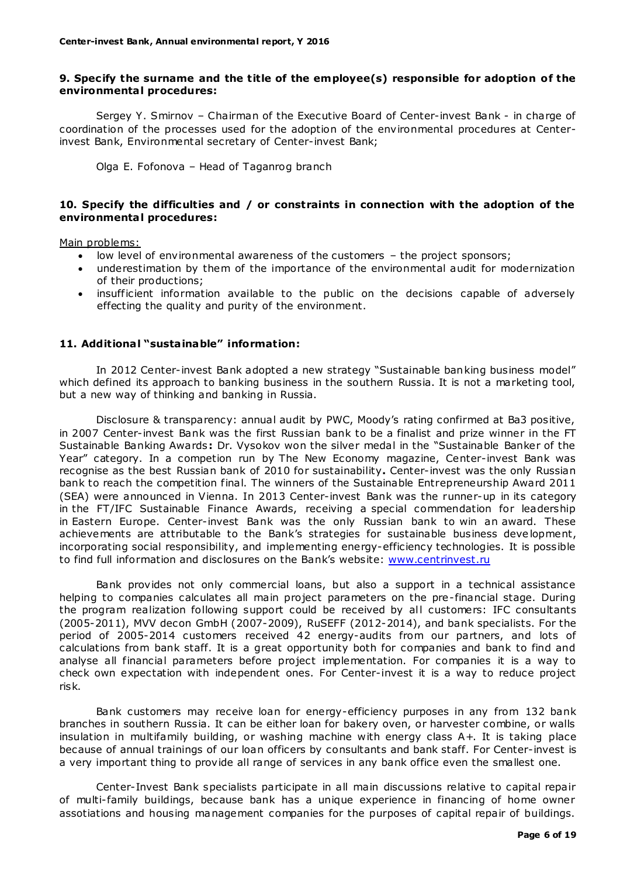#### **9. Spec ify the surname and the title of the employee(s) responsible for adoption of the environmenta l procedures:**

Sergey Y. Smirnov – Chairman of the Executive Board of Center-invest Bank - in charge of coordination of the processes used for the adoption of the environmental procedures at Centerinvest Bank, Environmental secretary of Center-invest Bank;

Olga E. Fofonova – Head of Taganrog branch

#### **10. Specify the difficulties and / or constraints in connection with the adoption of the environmenta l procedures:**

Main problems:

- low level of environmental awareness of the customers the project sponsors;
- underestimation by them of the importance of the environmental audit for modernization of their productions;
- insufficient information available to the public on the decisions capable of adversely effecting the quality and purity of the environment.

#### **11. Additiona l "susta inable" information:**

In 2012 Center-invest Bank adopted a new strategy "Sustainable banking business model" which defined its approach to banking business in the southern Russia. It is not a marketing tool, but a new way of thinking and banking in Russia.

Disclosure & transparency: annual audit by PWC, Moody's rating confirmed at Ba3 positive, in 2007 Center-invest Bank was the first Russian bank to be a finalist and prize winner in the FT Sustainable Banking Awards **:** Dr. Vysokov won the silver medal in the "Sustainable Banker of the Year" category. In a competion run by The New Economy magazine, Center-invest Bank was recognise as the best Russian bank of 2010 for sustainability**.** Center-invest was the only Russian bank to reach the competition final. The winners of the Sustainable Entrepreneurship Award 2011 (SEA) were announced in Vienna. In 2013 Center-invest Bank was the runner-up in its category in the FT/IFC Sustainable Finance Awards, receiving a special commendation for leadership in Eastern Europe. Center-invest Bank was the only Russian bank to win an award. These achievements are attributable to the Bank's strategies for sustainable business development, incorporating social responsibility, and implementing energy-efficiency technologies. It is possible to find full information and disclosures on the Bank's website: [www.centrinvest.ru](http://www.centrinvest.ru/)

Bank provides not only commercial loans, but also a support in a technical assistance helping to companies calculates all main project parameters on the pre-financial stage. During the program realization following support could be received by all customers: IFC consultants (2005-2011), MVV decon GmbH (2007-2009), RuSEFF (2012-2014), and bank specialists. For the period of 2005-2014 customers received 42 energy-audits from our partners, and lots of calculations from bank staff. It is a great opportunity both for companies and bank to find and analyse all financial parameters before project implementation. For companies it is a way to check own expectation with independent ones. For Center-invest it is a way to reduce project risk.

Bank customers may receive loan for energy-efficiency purposes in any from 132 bank branches in southern Russia. It can be either loan for bakery oven, or harvester combine, or walls insulation in multifamily building, or washing machine with energy class A+. It is taking place because of annual trainings of our loan officers by consultants and bank staff. For Center-invest is a very important thing to provide all range of services in any bank office even the smallest one.

Center-Invest Bank specialists participate in all main discussions relative to capital repair of multi-family buildings, because bank has a unique experience in financing of home owner assotiations and housing management companies for the purposes of capital repair of buildings.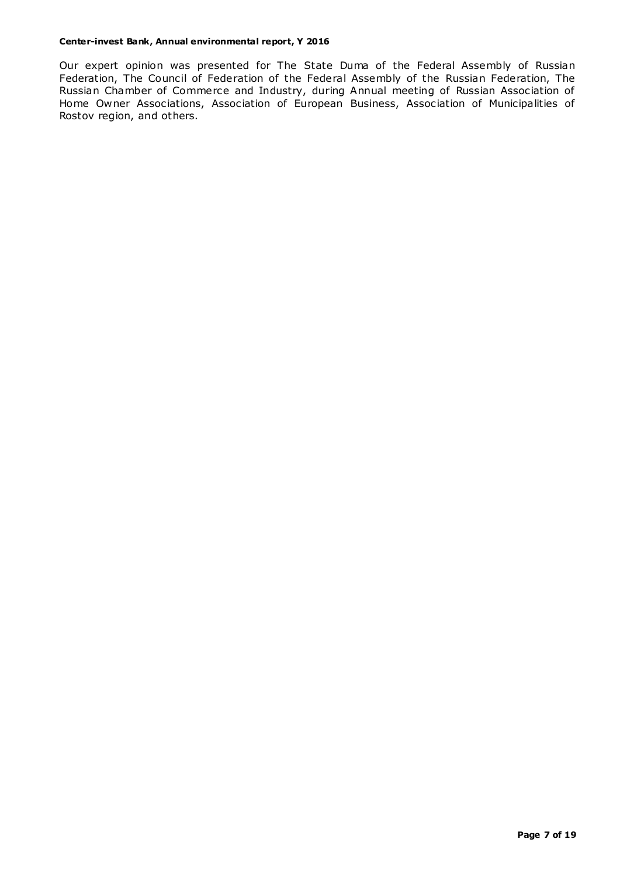Our expert opinion was presented for The State Duma of the Federal Assembly of Russian Federation, The Council of Federation of the Federal Assembly of the Russian Federation, The Russian Chamber of Commerce and Industry, during Annual meeting of Russian Association of Home Owner Associations, Association of European Business, Association of Municipalities of Rostov region, and others.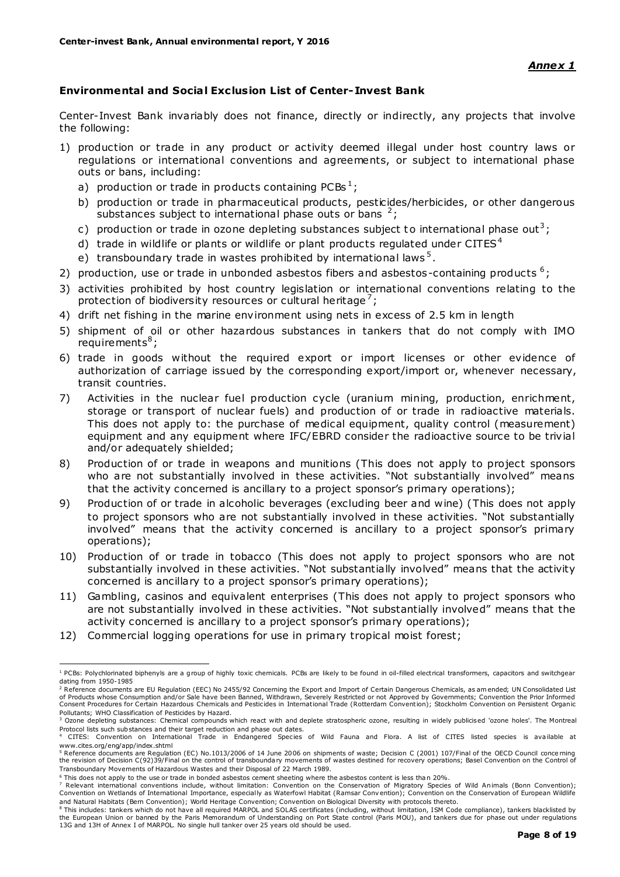# **Environmental and Socia l Exc lus ion List of Center-Invest Bank**

Center-Invest Bank invariably does not finance, directly or indirectly, any projects that involve the following:

- 1) production or trade in any product or activity deemed illegal under host country laws or regulations or international conventions and agreements, or subject to international phase outs or bans, including:
	- a) production or trade in products containing PCBs<sup>1</sup>;
	- b) production or trade in pharmaceutical products, pesticides/herbicides, or other dangerous substances subject to international phase outs or bans  $2$ ;
	- c) production or trade in ozone depleting substances subject to international phase out<sup>3</sup>;
	- d) trade in wildlife or plants or wildlife or plant products regulated under CITES<sup>4</sup>
	- e) transboundary trade in wastes prohibited by international laws<sup>5</sup>.
- 2) production, use or trade in unbonded asbestos fibers and asbestos-containing products  $6$ ;
- 3) activities prohibited by host country legislation or international conventions relating to the protection of biodiversity resources or cultural heritage<sup>7</sup>;
- 4) drift net fishing in the marine environment using nets in excess of 2.5 km in length
- 5) shipment of oil or other hazardous substances in tankers that do not comply with IMO require ments $^8$  ;
- 6) trade in goods without the required export or import licenses or other evidence of authorization of carriage issued by the corresponding export/import or, whenever necessary, transit countries.
- 7) Activities in the nuclear fuel production cycle (uranium mining, production, enrichment, storage or transport of nuclear fuels) and production of or trade in radioactive materials. This does not apply to: the purchase of medical equipment, quality control (measurement) equipment and any equipment where IFC/EBRD consider the radioactive source to be trivial and/or adequately shielded;
- 8) Production of or trade in weapons and munitions (This does not apply to project sponsors who are not substantially involved in these activities. "Not substantially involved" means that the activity concerned is ancillary to a project sponsor's primary operations);
- 9) Production of or trade in alcoholic beverages (excluding beer and wine) (This does not apply to project sponsors who are not substantially involved in these activities. "Not substantially involved" means that the activity concerned is ancillary to a project sponsor's primary operations);
- 10) Production of or trade in tobacco (This does not apply to project sponsors who are not substantially involved in these activities. "Not substantially involved" means that the activity concerned is ancillary to a project sponsor's primary operations);
- 11) Gambling, casinos and equivalent enterprises (This does not apply to project sponsors who are not substantially involved in these activities. "Not substantially involved" means that the activity concerned is ancillary to a project sponsor's primary operations);
- 12) Commercial logging operations for use in primary tropical moist forest;

l  $^{1}$  PCBs: Polychlorinated biphenyls are a group of highly toxic chemicals. PCBs are likely to be found in oil-filled electrical transformers, capacitors and switchgear dating from 1950-1985

<sup>&</sup>lt;sup>2</sup> Reference documents are EU Regulation (EEC) No 2455/92 Concerning the Export and Import of Certain Dangerous Chemicals, as am ended; UN Consolidated List of Products whose Consumption and/or Sale have been Banned, Withdrawn, Severely Restricted or not Approved by Governments; Convention the Prior Informed<br>Consent Procedures for Certain Hazardous Chemicals and Pesticides in Pollutants; WHO Classification of Pesticides by Hazard.

<sup>&</sup>lt;sup>3</sup> Ozone depleting substances: Chemical compounds which react with and deplete stratospheric ozone, resulting in widely publicised 'ozone holes'. The Montreal Protocol lists such sub stances and their target reduction and phase out dates.

<sup>4</sup> CITES: Convention on International Trade in Endangered Species of Wild Fauna and Flora. A list of CITES listed species is ava ilable at www.cites.org/eng/app/index.shtml

<sup>&</sup>lt;sup>5</sup> Reference documents are Regulation (EC) No.1013/2006 of 14 June 2006 on shipments of waste; Decision C (2001) 107/Final of the OECD Council concerning<br>the revision of Decision C(92)39/Final on the control of transbound Transboundary Movements of Hazardous Wastes and their Disposal of 22 March 1989.

 $6$  This does not apply to the use or trade in bonded asbestos cement sheeting where the asbestos content is less than 20%.

<sup>7</sup> Relevant international conventions include, without limitation: Convention on the Conservation of Migratory Species of Wild Animals (Bonn Convention); Convention on Wetlands of International Importance, especially as Waterfowl Habitat (Ramsar Conv ention); Convention on the Conservation of European Wildlife and Natural Habitats (Bern Convention); World Heritage Convention; Convention on Biological Diversity with protocols thereto.

<sup>&</sup>lt;sup>8</sup> This includes: tankers which do not have all required MARPOL and SOLAS certificates (including, without limitation, ISM Code compliance), tankers blacklisted by the European Union or banned by the Paris Memorandum of Understanding on Port State control (Paris MOU), and tankers due for phase out under regulations 13G and 13H of Annex I of MARPOL. No single hull tanker over 25 years old should be used.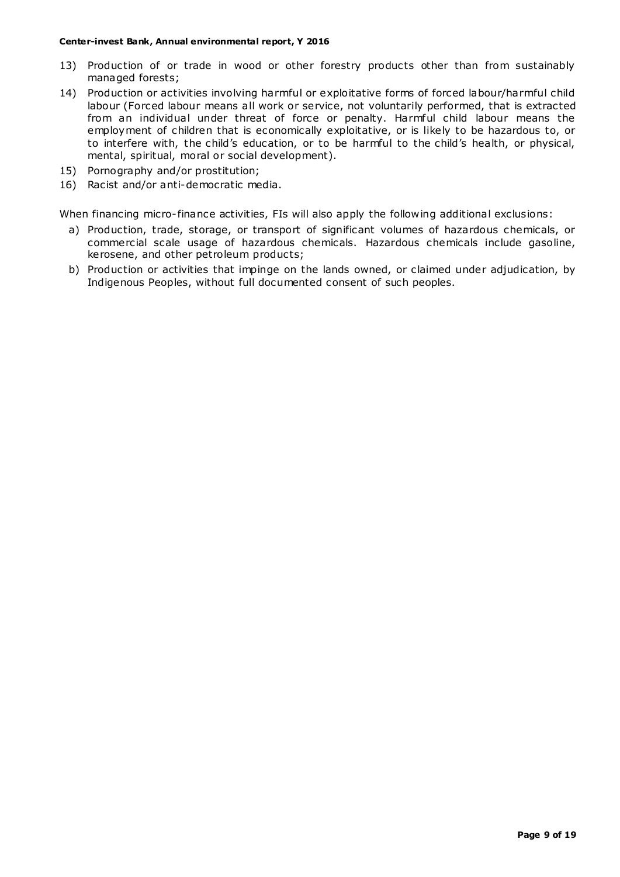- 13) Production of or trade in wood or other forestry products other than from sustainably managed forests;
- 14) Production or activities involving harmful or exploitative forms of forced labour/harmful child labour (Forced labour means all work or service, not voluntarily performed, that is extracted from an individual under threat of force or penalty. Harmful child labour means the employment of children that is economically exploitative, or is likely to be hazardous to, or to interfere with, the child's education, or to be harmful to the child's health, or physical, mental, spiritual, moral or social development).
- 15) Pornography and/or prostitution;
- 16) Racist and/or anti-democratic media.

When financing micro-finance activities, FIs will also apply the following additional exclusions:

- a) Production, trade, storage, or transport of significant volumes of hazardous chemicals, or commercial scale usage of hazardous chemicals. Hazardous chemicals include gasoline, kerosene, and other petroleum products;
- b) Production or activities that impinge on the lands owned, or claimed under adjudication, by Indigenous Peoples, without full documented consent of such peoples.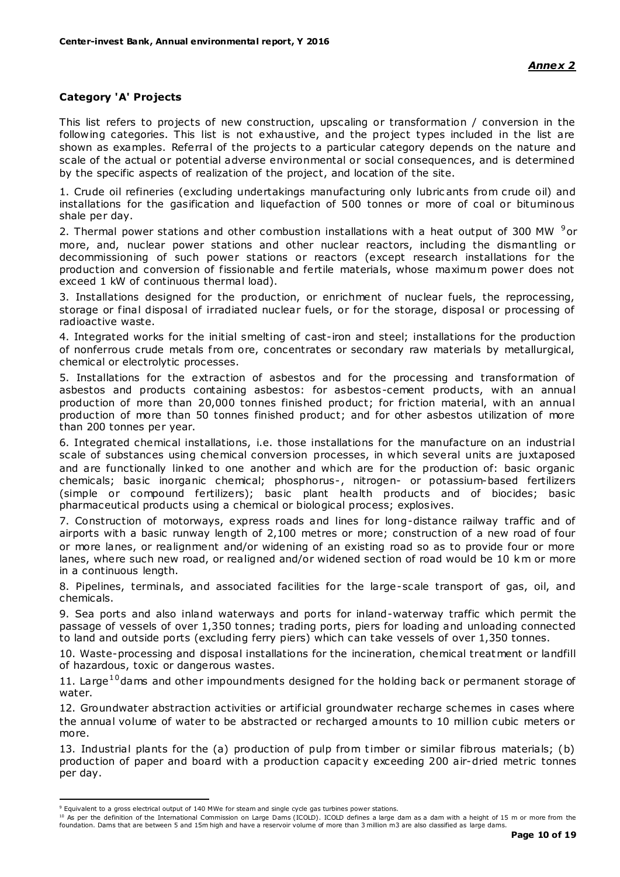# **Category 'A' Projects**

This list refers to projects of new construction, upscaling or transformation / conversion in the following categories. This list is not exhaustive, and the project types included in the list are shown as examples. Referral of the projects to a particular category depends on the nature and scale of the actual or potential adverse environmental or social consequences, and is determined by the specific aspects of realization of the project, and location of the site.

1. Crude oil refineries (excluding undertakings manufacturing only lubric ants from crude oil) and installations for the gasification and liquefaction of 500 tonnes or more of coal or bituminous shale per day.

2. Thermal power stations and other combustion installations with a heat output of 300 MW <sup>9</sup>or more, and, nuclear power stations and other nuclear reactors, including the dismantling or decommissioning of such power stations or reactors (except research installations for the production and conversion of fissionable and fertile materials, whose maximum power does not exceed 1 kW of continuous thermal load).

3. Installations designed for the production, or enrichment of nuclear fuels, the reprocessing, storage or final disposal of irradiated nuclear fuels, or for the storage, disposal or processing of radioactive waste.

4. Integrated works for the initial smelting of cast-iron and steel; installations for the production of nonferrous crude metals from ore, concentrates or secondary raw materials by metallurgical, chemical or electrolytic processes.

5. Installations for the extraction of asbestos and for the processing and transformation of asbestos and products containing asbestos: for asbestos-cement products, with an annual production of more than 20,000 tonnes finished product; for friction material, with an annual production of more than 50 tonnes finished product; and for other asbestos utilization of more than 200 tonnes per year.

6. Integrated chemical installations, i.e. those installations for the manufacture on an industrial scale of substances using chemical conversion processes, in which several units are juxtaposed and are functionally linked to one another and which are for the production of: basic organic chemicals; basic inorganic chemical; phosphorus-, nitrogen- or potassium-based fertilizers (simple or compound fertilizers); basic plant health products and of biocides; basic pharmaceutical products using a chemical or biological process; explosives.

7. Construction of motorways, express roads and lines for long-distance railway traffic and of airports with a basic runway length of 2,100 metres or more; construction of a new road of four or more lanes, or realignment and/or widening of an existing road so as to provide four or more lanes, where such new road, or realigned and/or widened section of road would be 10 km or more in a continuous length.

8. Pipelines, terminals, and associated facilities for the large-scale transport of gas, oil, and chemicals.

9. Sea ports and also inland waterways and ports for inland-waterway traffic which permit the passage of vessels of over 1,350 tonnes; trading ports, piers for loading and unloading connected to land and outside ports (excluding ferry piers) which can take vessels of over 1,350 tonnes.

10. Waste-processing and disposal installations for the incineration, chemical treatment or landfill of hazardous, toxic or dangerous wastes.

11. Large<sup>10</sup> dams and other impoundments designed for the holding back or permanent storage of water.

12. Groundwater abstraction activities or artificial groundwater recharge schemes in cases where the annual volume of water to be abstracted or recharged amounts to 10 million cubic meters or more.

13. Industrial plants for the (a) production of pulp from timber or similar fibrous materials; (b) production of paper and board with a production capacity exceeding 200 air-dried metric tonnes per day.

 $\overline{a}$ 

<sup>10</sup> As per the definition of the International Commission on Large Dams (ICOLD). ICOLD defines a large dam as a dam with a height of 15 m or more from the foundation. Dams that are between 5 and 15m high and have a reservoir volume of more than 3 million m3 are also classified as large dams.

<sup>9</sup> Equivalent to a gross electrical output of 140 MWe for steam and single cycle gas turbines power stations.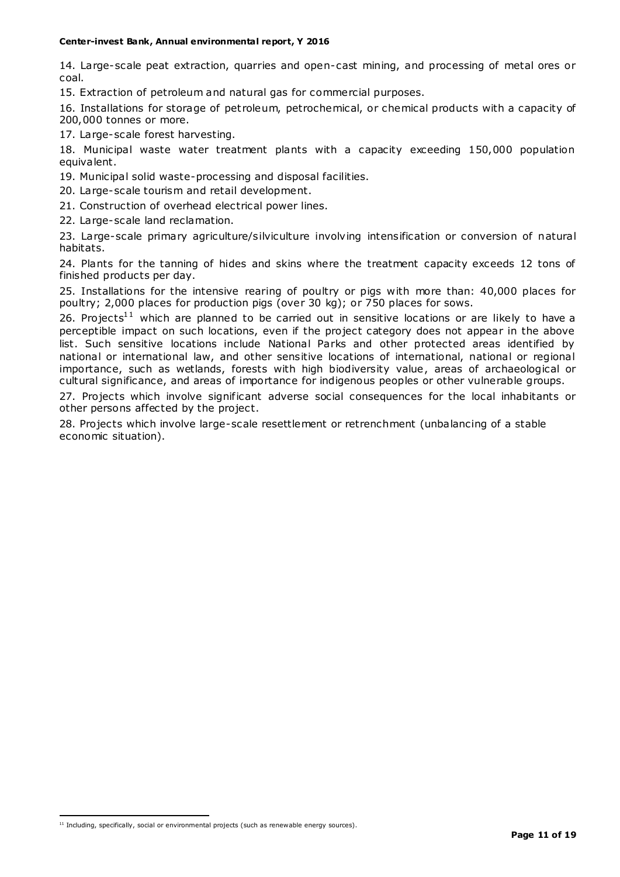14. Large-scale peat extraction, quarries and open-cast mining, and processing of metal ores or coal.

15. Extraction of petroleum and natural gas for commercial purposes.

16. Installations for storage of pet roleum, petrochemical, or chemical products with a capacity of 200,000 tonnes or more.

17. Large-scale forest harvesting.

18. Municipal waste water treatment plants with a capacity exceeding 150,000 population equivalent.

19. Municipal solid waste-processing and disposal facilities.

20. Large-scale tourism and retail development.

21. Construction of overhead electrical power lines.

22. Large-scale land reclamation.

23. Large-scale primary agriculture/silviculture involving intensification or conversion of natural habitats.

24. Plants for the tanning of hides and skins where the treatment capacity exceeds 12 tons of finished products per day.

25. Installations for the intensive rearing of poultry or pigs with more than: 40,000 places for poultry; 2,000 places for production pigs (over 30 kg); or 750 places for sows.

26. Projects<sup>11</sup> which are planned to be carried out in sensitive locations or are likely to have a perceptible impact on such locations, even if the project category does not appear in the above list. Such sensitive locations include National Parks and other protected areas identified by national or international law, and other sensitive locations of international, national or regional importance, such as wetlands, forests with high biodiversity value, areas of archaeological or cultural significance, and areas of importance for indigenous peoples or other vulnerable groups.

27. Projects which involve significant adverse social consequences for the local inhabitants or other persons affected by the project.

28. Projects which involve large-scale resettlement or retrenchment (unbalancing of a stable economic situation).

 $\overline{a}$ 

 $11$  Including, specifically, social or environmental projects (such as renewable energy sources).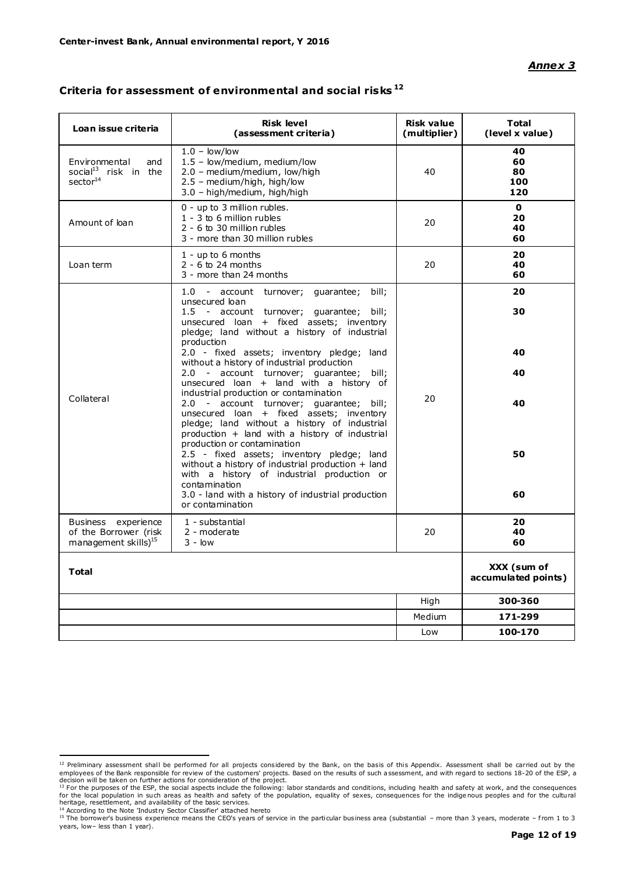### *Annex 3*

| Loan issue criteria                                                              | <b>Risk level</b><br>(assessment criteria)                                                                                                                                                                                                                                                                                                                               | <b>Risk value</b><br>(multiplier) | <b>Total</b><br>(level x value)    |
|----------------------------------------------------------------------------------|--------------------------------------------------------------------------------------------------------------------------------------------------------------------------------------------------------------------------------------------------------------------------------------------------------------------------------------------------------------------------|-----------------------------------|------------------------------------|
| Environmental<br>and<br>social <sup>13</sup> risk in the<br>sector <sup>14</sup> | $1.0 - low/low$<br>1.5 - low/medium, medium/low<br>2.0 - medium/medium, low/high<br>2.5 - medium/high, high/low<br>3.0 - high/medium, high/high                                                                                                                                                                                                                          | 40                                | 40<br>60<br>80<br>100<br>120       |
| Amount of loan                                                                   | 0 - up to 3 million rubles.<br>1 - 3 to 6 million rubles<br>2 - 6 to 30 million rubles<br>3 - more than 30 million rubles                                                                                                                                                                                                                                                | 20                                | $\mathbf{0}$<br>20<br>40<br>60     |
| Loan term                                                                        | 1 - up to 6 months<br>$2 - 6$ to 24 months<br>3 - more than 24 months                                                                                                                                                                                                                                                                                                    | 20                                | 20<br>40<br>60                     |
|                                                                                  | 1.0 - account turnover; quarantee;<br>bill:<br>unsecured loan<br>1.5 - account turnover; quarantee; bill;<br>unsecured loan + fixed assets; inventory<br>pledge; land without a history of industrial<br>production<br>2.0 - fixed assets; inventory pledge; land                                                                                                        |                                   | 20<br>30<br>40                     |
| Collateral                                                                       | without a history of industrial production<br>2.0 - account turnover; guarantee;<br>bill;<br>unsecured loan + land with a history of<br>industrial production or contamination<br>2.0 - account turnover; guarantee; bill;<br>unsecured loan + fixed assets; inventory<br>pledge; land without a history of industrial<br>production + land with a history of industrial | 20                                | 40<br>40                           |
|                                                                                  | production or contamination<br>2.5 - fixed assets; inventory pledge; land<br>without a history of industrial production + land<br>with a history of industrial production or<br>contamination<br>3.0 - land with a history of industrial production<br>or contamination                                                                                                  |                                   | 50<br>60                           |
| Business experience<br>of the Borrower (risk<br>management skills) <sup>15</sup> | 1 - substantial<br>2 - moderate<br>$3 - \text{low}$                                                                                                                                                                                                                                                                                                                      | 20                                | 20<br>40<br>60                     |
| <b>Total</b>                                                                     |                                                                                                                                                                                                                                                                                                                                                                          |                                   | XXX (sum of<br>accumulated points) |
|                                                                                  |                                                                                                                                                                                                                                                                                                                                                                          | High                              | 300-360                            |
|                                                                                  |                                                                                                                                                                                                                                                                                                                                                                          | Medium                            | 171-299                            |
|                                                                                  |                                                                                                                                                                                                                                                                                                                                                                          | Low                               | 100-170                            |

# **Criteria for assessment of environmental and soc ial risks <sup>12</sup>**

<sup>12</sup> Preliminary assessment shall be performed for all projects considered by the Bank, on the basis of this Appendix. Assessment shall be carried out by the interpret out by the state out by the state out by the state out b

employees of the Bank responsible for review of the customers' projects. Based on the results of such assessment, and with regard to sections 18-20 of the ESP, a<br>decision will be taken on further actions for consideration

<sup>15</sup> The borrower's business experience means the CEO's years of service in the particular business area (substantial – more than 3 years, moderate – f rom 1 to 3 years, low– less than 1 year).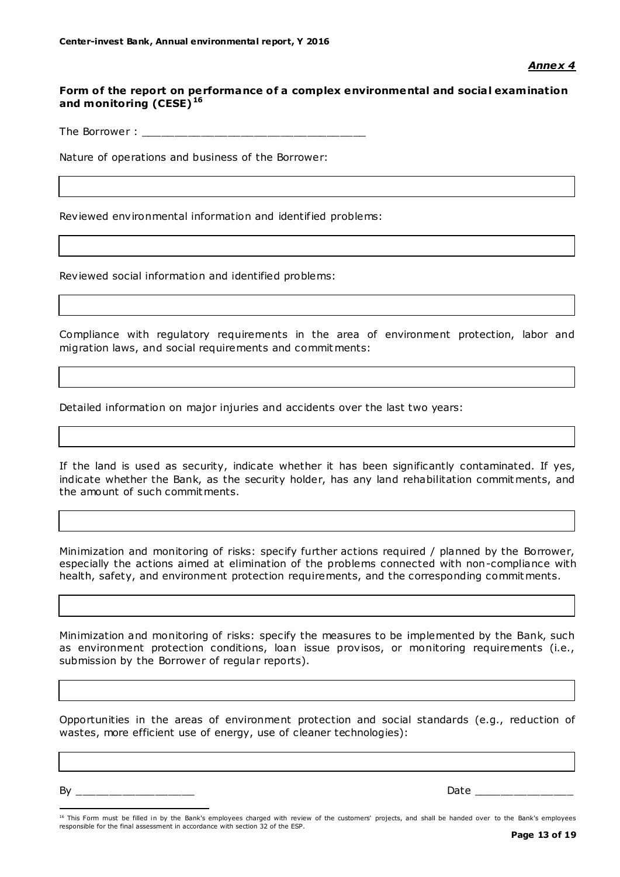### Form of the report on performance of a complex environmental and social examination **and monitoring (CESE) <sup>16</sup>**

The Borrower :

Nature of operations and business of the Borrower:

Reviewed environmental information and identified problems:

Reviewed social information and identified problems:

Compliance with regulatory requirements in the area of environment protection, labor and migration laws, and social requirements and commitments:

Detailed information on major injuries and accidents over the last two years:

If the land is used as security, indicate whether it has been significantly contaminated. If yes, indicate whether the Bank, as the security holder, has any land rehabilitation commitments, and the amount of such commitments.

Minimization and monitoring of risks: specify further actions required / planned by the Borrower, especially the actions aimed at elimination of the problems connected with non-compliance with health, safety, and environment protection requirements, and the corresponding commitments.

Minimization and monitoring of risks: specify the measures to be implemented by the Bank, such as environment protection conditions, loan issue provisos, or monitoring requirements (i.e., submission by the Borrower of regular reports).

Opportunities in the areas of environment protection and social standards (e.g., reduction of wastes, more efficient use of energy, use of cleaner technologies):

By \_\_\_\_\_\_\_\_\_\_\_\_\_\_\_\_\_\_ Date \_\_\_\_\_\_\_\_\_\_\_\_\_\_\_

 $\overline{a}$ 

<sup>&</sup>lt;sup>16</sup> This Form must be filled in by the Bank's employees charged with review of the customers' projects, and shall be handed over to the Bank's employees responsible for the final assessment in accordance with section 32 of the ESP.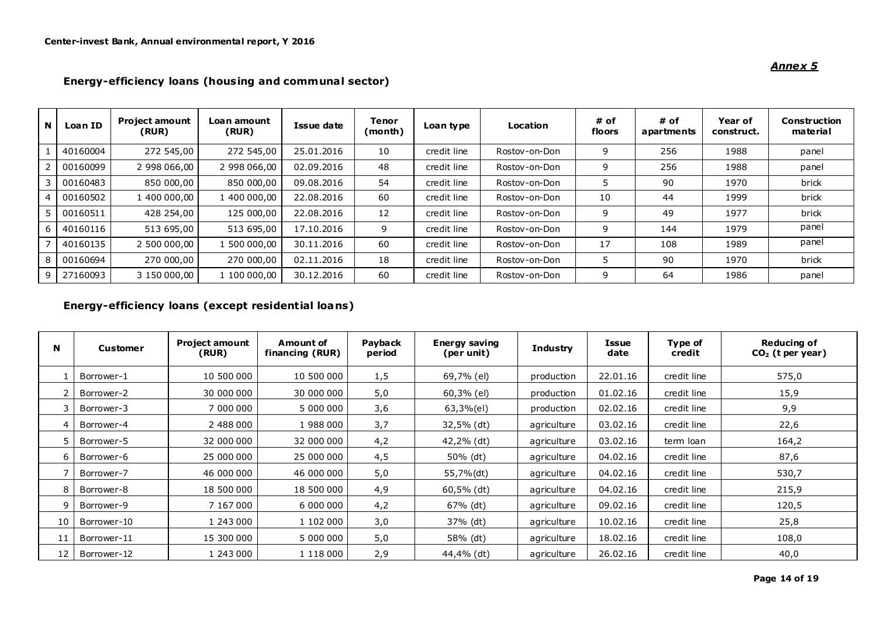#### **<sup>N</sup> Loan ID Project amount (RUR) Loan amount Issue date Tenor (month) (month) Loan type Location # of floors # of apartments Year of construct. Construction material** 1 | 40160004 | 272 545,00 | 272 545,00 | 25.01.2016 | 10 | credit line | Rostov-on-Don | 9 | 256 | 1988 | panel 2 00160099 2 998 066,00 2 998 066,00 02.09.2016 48 credit line Rostov-on-Don 9 256 1988 panel 3 | 00160483 | 850 000,00 | 850 000,00 | 09.08.2016 | 54 | credit line | Rostov-on-Don | 5 90 1970 | brick 4 | 00160502 | 1 400 000,00 | 1 400 000,00 | 22.08.2016 | 60 | credit line | Rostov-on-Don | 10 | 44 | 1999 | brick 5 | 00160511 | 428 254,00 | 125 000,00 | 22.08.2016 | 12 | credit line | Rostov-on-Don | 9 | 49 | 1977 | brick 6 40160116 513 695,00 513 695,00 17.10.2016 9 credit line Rostov-on-Don 9 144 1979 panel 7 | 40160135 | 2 500 000,00 | 1 500 000,00 | 30.11.2016 | 60 | credit line | Rostov-on-Don | 17 | 108 | 1989 | panel 8 00160694 270 000,00 270 000,00 02.11.2016 18 credit line Rostov-on-Don 5 90 1970 brick 9 27160093 3 150 000,00 1 100 000,00 30.12.2016 60 credit line Rostov-on-Don 9 64 1986 panel

#### **Energy-effic iency loans (hous ing and communa l sector)**

# **Energy-effic iency loans (except residential loans)**

| N  | <b>Customer</b> | <b>Project amount</b><br>(RUR) | Amount of<br>financing (RUR) | Payback<br>period | <b>Energy saving</b><br>(per unit) | <b>Industry</b> | Issue<br>date | Type of<br>credit | Reducing of<br>$CO2$ (t per year) |
|----|-----------------|--------------------------------|------------------------------|-------------------|------------------------------------|-----------------|---------------|-------------------|-----------------------------------|
|    | Borrower-1      | 10 500 000                     | 10 500 000                   | 1,5               | 69,7% (el)                         | production      | 22.01.16      | credit line       | 575,0                             |
|    | Borrower-2      | 30 000 000                     | 30 000 000                   | 5,0               | 60,3% (el)                         | production      | 01.02.16      | credit line       | 15,9                              |
| 3  | Borrower-3      | 7 000 000                      | 5 000 000                    | 3,6               | 63,3%(el)                          | production      | 02.02.16      | credit line       | 9,9                               |
| 4  | Borrower-4      | 2 488 000                      | 1988000                      | 3,7               | 32,5% (dt)                         | agriculture     | 03.02.16      | credit line       | 22,6                              |
| 5  | Borrower-5      | 32 000 000                     | 32 000 000                   | 4,2               | 42,2% (dt)                         | agriculture     | 03.02.16      | term loan         | 164,2                             |
| 6  | Borrower-6      | 25 000 000                     | 25 000 000                   | 4,5               | 50% (dt)                           | agriculture     | 04.02.16      | credit line       | 87,6                              |
|    | Borrower-7      | 46 000 000                     | 46 000 000                   | 5,0               | 55,7%(dt)                          | agriculture     | 04.02.16      | credit line       | 530,7                             |
| 8  | Borrower-8      | 18 500 000                     | 18 500 000                   | 4,9               | 60,5% (dt)                         | agriculture     | 04.02.16      | credit line       | 215,9                             |
| 9  | Borrower-9      | 7 167 000                      | 6 000 000                    | 4,2               | 67% (dt)                           | agriculture     | 09.02.16      | credit line       | 120,5                             |
| 10 | Borrower-10     | 1 243 000                      | 1 102 000                    | 3,0               | 37% (dt)                           | agriculture     | 10.02.16      | credit line       | 25,8                              |
| 11 | Borrower-11     | 15 300 000                     | 5 000 000                    | 5,0               | 58% (dt)                           | agriculture     | 18.02.16      | credit line       | 108,0                             |
| 12 | Borrower-12     | 1 243 000                      | 1 118 000                    | 2,9               | 44,4% (dt)                         | agriculture     | 26.02.16      | credit line       | 40,0                              |

#### *Annex 5*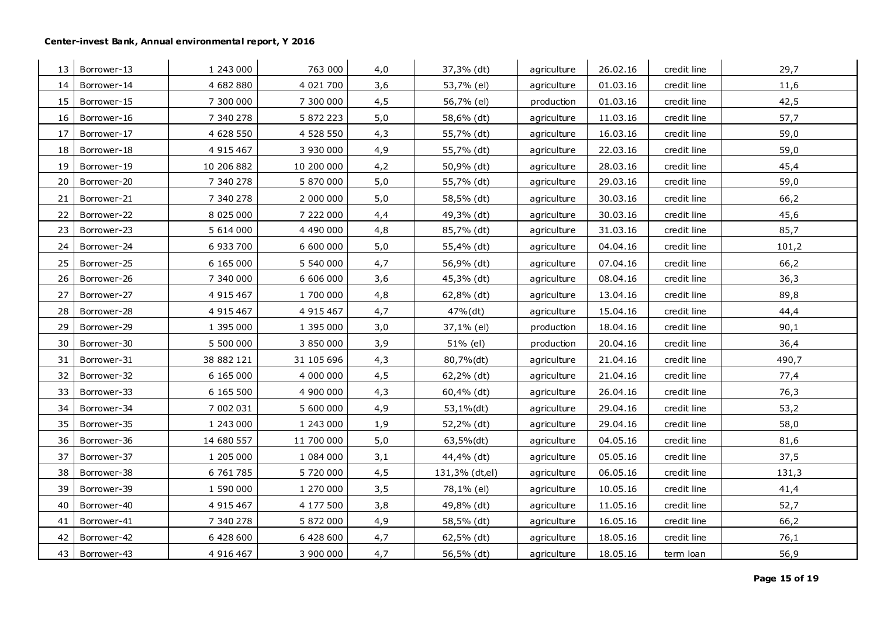| 13 <sub>1</sub> | Borrower-13 | 1 243 000  | 763 000    | 4,0   | 37,3% (dt)     | agriculture | 26.02.16 | credit line | 29,7  |
|-----------------|-------------|------------|------------|-------|----------------|-------------|----------|-------------|-------|
| 14              | Borrower-14 | 4 682 880  | 4 021 700  | 3,6   | 53,7% (el)     | agriculture | 01.03.16 | credit line | 11,6  |
| 15              | Borrower-15 | 7 300 000  | 7 300 000  | 4,5   | 56,7% (el)     | production  | 01.03.16 | credit line | 42,5  |
| 16              | Borrower-16 | 7 340 278  | 5 872 223  | 5,0   | 58,6% (dt)     | agriculture | 11.03.16 | credit line | 57,7  |
| 17              | Borrower-17 | 4 628 550  | 4 528 550  | 4,3   | 55,7% (dt)     | agriculture | 16.03.16 | credit line | 59,0  |
| 18              | Borrower-18 | 4 915 467  | 3 930 000  | 4,9   | 55,7% (dt)     | agriculture | 22.03.16 | credit line | 59,0  |
| 19              | Borrower-19 | 10 206 882 | 10 200 000 | 4,2   | 50,9% (dt)     | agriculture | 28.03.16 | credit line | 45,4  |
| 20              | Borrower-20 | 7 340 278  | 5 870 000  | 5,0   | 55,7% (dt)     | agriculture | 29.03.16 | credit line | 59,0  |
| 21              | Borrower-21 | 7 340 278  | 2 000 000  | 5,0   | 58,5% (dt)     | agriculture | 30.03.16 | credit line | 66,2  |
| 22              | Borrower-22 | 8 025 000  | 7 222 000  | 4,4   | 49,3% (dt)     | agriculture | 30.03.16 | credit line | 45,6  |
| 23              | Borrower-23 | 5 614 000  | 4 490 000  | 4,8   | 85,7% (dt)     | agriculture | 31.03.16 | credit line | 85,7  |
| 24              | Borrower-24 | 6 933 700  | 6 600 000  | $5,0$ | 55,4% (dt)     | agriculture | 04.04.16 | credit line | 101,2 |
| 25              | Borrower-25 | 6 165 000  | 5 540 000  | 4,7   | 56,9% (dt)     | agriculture | 07.04.16 | credit line | 66,2  |
| 26              | Borrower-26 | 7 340 000  | 6 606 000  | 3,6   | 45,3% (dt)     | agriculture | 08.04.16 | credit line | 36,3  |
| 27              | Borrower-27 | 4 915 467  | 1 700 000  | 4,8   | 62,8% (dt)     | agriculture | 13.04.16 | credit line | 89,8  |
| 28              | Borrower-28 | 4 915 467  | 4 915 467  | 4,7   | 47%(dt)        | agriculture | 15.04.16 | credit line | 44,4  |
| 29              | Borrower-29 | 1 395 000  | 1 395 000  | 3,0   | 37,1% (el)     | production  | 18.04.16 | credit line | 90,1  |
| 30              | Borrower-30 | 5 500 000  | 3 850 000  | 3,9   | 51% (el)       | production  | 20.04.16 | credit line | 36,4  |
| 31              | Borrower-31 | 38 882 121 | 31 105 696 | 4,3   | 80,7%(dt)      | agriculture | 21.04.16 | credit line | 490,7 |
| 32              | Borrower-32 | 6 165 000  | 4 000 000  | 4,5   | 62,2% (dt)     | agriculture | 21.04.16 | credit line | 77,4  |
| 33              | Borrower-33 | 6 165 500  | 4 900 000  | 4,3   | 60,4% (dt)     | agriculture | 26.04.16 | credit line | 76,3  |
| 34              | Borrower-34 | 7 002 031  | 5 600 000  | 4,9   | 53,1%(dt)      | agriculture | 29.04.16 | credit line | 53,2  |
| 35              | Borrower-35 | 1 243 000  | 1 243 000  | 1,9   | 52,2% (dt)     | agriculture | 29.04.16 | credit line | 58,0  |
| 36              | Borrower-36 | 14 680 557 | 11 700 000 | 5,0   | 63,5%(dt)      | agriculture | 04.05.16 | credit line | 81,6  |
| 37              | Borrower-37 | 1 205 000  | 1 084 000  | 3,1   | 44,4% (dt)     | agriculture | 05.05.16 | credit line | 37,5  |
| 38              | Borrower-38 | 6 761 785  | 5 720 000  | 4,5   | 131,3% (dt,el) | agriculture | 06.05.16 | credit line | 131,3 |
| 39              | Borrower-39 | 1 590 000  | 1 270 000  | 3,5   | 78,1% (el)     | agriculture | 10.05.16 | credit line | 41,4  |
| 40              | Borrower-40 | 4 915 467  | 4 177 500  | 3,8   | 49,8% (dt)     | agriculture | 11.05.16 | credit line | 52,7  |
| 41              | Borrower-41 | 7 340 278  | 5 872 000  | 4,9   | 58,5% (dt)     | agriculture | 16.05.16 | credit line | 66,2  |
| 42              | Borrower-42 | 6 428 600  | 6 428 600  | 4,7   | 62,5% (dt)     | agriculture | 18.05.16 | credit line | 76,1  |
| 43              | Borrower-43 | 4 916 467  | 3 900 000  | 4,7   | 56,5% (dt)     | agriculture | 18.05.16 | term loan   | 56,9  |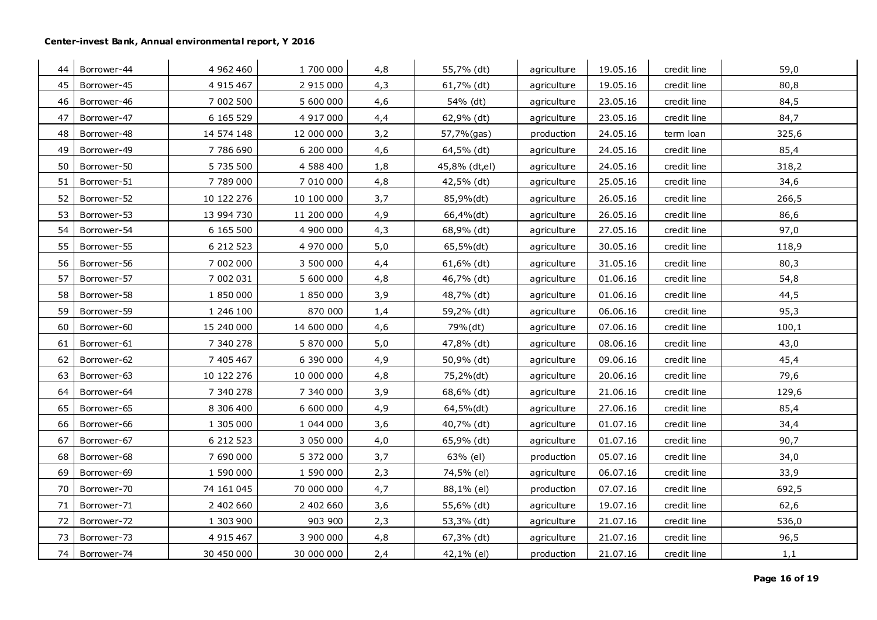| 44 | Borrower-44 | 4 962 460  | 1 700 000  | 4,8 | 55,7% (dt)    | agriculture | 19.05.16 | credit line | 59,0  |
|----|-------------|------------|------------|-----|---------------|-------------|----------|-------------|-------|
| 45 | Borrower-45 | 4 915 467  | 2 915 000  | 4,3 | 61,7% (dt)    | agriculture | 19.05.16 | credit line | 80,8  |
| 46 | Borrower-46 | 7 002 500  | 5 600 000  | 4,6 | 54% (dt)      | agriculture | 23.05.16 | credit line | 84,5  |
| 47 | Borrower-47 | 6 165 529  | 4 917 000  | 4,4 | 62,9% (dt)    | agriculture | 23.05.16 | credit line | 84,7  |
| 48 | Borrower-48 | 14 574 148 | 12 000 000 | 3,2 | 57,7%(gas)    | production  | 24.05.16 | term loan   | 325,6 |
| 49 | Borrower-49 | 7 786 690  | 6 200 000  | 4,6 | 64,5% (dt)    | agriculture | 24.05.16 | credit line | 85,4  |
| 50 | Borrower-50 | 5 735 500  | 4 588 400  | 1,8 | 45,8% (dt,el) | agriculture | 24.05.16 | credit line | 318,2 |
| 51 | Borrower-51 | 7 789 000  | 7 010 000  | 4,8 | 42,5% (dt)    | agriculture | 25.05.16 | credit line | 34,6  |
| 52 | Borrower-52 | 10 122 276 | 10 100 000 | 3,7 | 85,9%(dt)     | agriculture | 26.05.16 | credit line | 266,5 |
| 53 | Borrower-53 | 13 994 730 | 11 200 000 | 4,9 | 66,4%(dt)     | agriculture | 26.05.16 | credit line | 86,6  |
| 54 | Borrower-54 | 6 165 500  | 4 900 000  | 4,3 | 68,9% (dt)    | agriculture | 27.05.16 | credit line | 97,0  |
| 55 | Borrower-55 | 6 212 523  | 4 970 000  | 5,0 | 65,5%(dt)     | agriculture | 30.05.16 | credit line | 118,9 |
| 56 | Borrower-56 | 7 002 000  | 3 500 000  | 4,4 | 61,6% (dt)    | agriculture | 31.05.16 | credit line | 80,3  |
| 57 | Borrower-57 | 7 002 031  | 5 600 000  | 4,8 | 46,7% (dt)    | agriculture | 01.06.16 | credit line | 54,8  |
| 58 | Borrower-58 | 1 850 000  | 1 850 000  | 3,9 | 48,7% (dt)    | agriculture | 01.06.16 | credit line | 44,5  |
| 59 | Borrower-59 | 1 246 100  | 870 000    | 1,4 | 59,2% (dt)    | agriculture | 06.06.16 | credit line | 95,3  |
| 60 | Borrower-60 | 15 240 000 | 14 600 000 | 4,6 | 79%(dt)       | agriculture | 07.06.16 | credit line | 100,1 |
| 61 | Borrower-61 | 7 340 278  | 5 870 000  | 5,0 | 47,8% (dt)    | agriculture | 08.06.16 | credit line | 43,0  |
| 62 | Borrower-62 | 7 405 467  | 6 390 000  | 4,9 | 50,9% (dt)    | agriculture | 09.06.16 | credit line | 45,4  |
| 63 | Borrower-63 | 10 122 276 | 10 000 000 | 4,8 | 75,2%(dt)     | agriculture | 20.06.16 | credit line | 79,6  |
| 64 | Borrower-64 | 7 340 278  | 7 340 000  | 3,9 | 68,6% (dt)    | agriculture | 21.06.16 | credit line | 129,6 |
| 65 | Borrower-65 | 8 306 400  | 6 600 000  | 4,9 | 64,5%(dt)     | agriculture | 27.06.16 | credit line | 85,4  |
| 66 | Borrower-66 | 1 305 000  | 1 044 000  | 3,6 | 40,7% (dt)    | agriculture | 01.07.16 | credit line | 34,4  |
| 67 | Borrower-67 | 6 212 523  | 3 050 000  | 4,0 | 65,9% (dt)    | agriculture | 01.07.16 | credit line | 90,7  |
| 68 | Borrower-68 | 7 690 000  | 5 372 000  | 3,7 | 63% (el)      | production  | 05.07.16 | credit line | 34,0  |
| 69 | Borrower-69 | 1 590 000  | 1 590 000  | 2,3 | 74,5% (el)    | agriculture | 06.07.16 | credit line | 33,9  |
| 70 | Borrower-70 | 74 161 045 | 70 000 000 | 4,7 | 88,1% (el)    | production  | 07.07.16 | credit line | 692,5 |
| 71 | Borrower-71 | 2 402 660  | 2 402 660  | 3,6 | 55,6% (dt)    | agriculture | 19.07.16 | credit line | 62,6  |
| 72 | Borrower-72 | 1 303 900  | 903 900    | 2,3 | 53,3% (dt)    | agriculture | 21.07.16 | credit line | 536,0 |
| 73 | Borrower-73 | 4 915 467  | 3 900 000  | 4,8 | 67,3% (dt)    | agriculture | 21.07.16 | credit line | 96,5  |
| 74 | Borrower-74 | 30 450 000 | 30 000 000 | 2,4 | 42,1% (el)    | production  | 21.07.16 | credit line | 1,1   |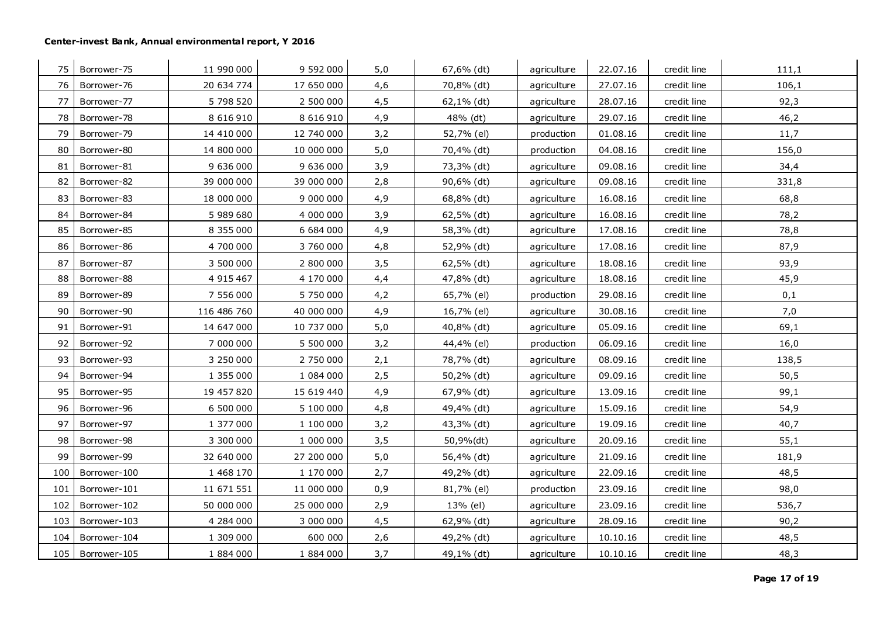| 75  | Borrower-75  | 11 990 000  | 9 592 000  | 5,0   | 67,6% (dt) | agriculture | 22.07.16 | credit line | 111,1 |
|-----|--------------|-------------|------------|-------|------------|-------------|----------|-------------|-------|
| 76  | Borrower-76  | 20 634 774  | 17 650 000 | 4,6   | 70,8% (dt) | agriculture | 27.07.16 | credit line | 106,1 |
| 77  | Borrower-77  | 5 798 520   | 2 500 000  | 4,5   | 62,1% (dt) | agriculture | 28.07.16 | credit line | 92,3  |
| 78  | Borrower-78  | 8 616 910   | 8 616 910  | 4,9   | 48% (dt)   | agriculture | 29.07.16 | credit line | 46,2  |
| 79  | Borrower-79  | 14 410 000  | 12 740 000 | 3,2   | 52,7% (el) | production  | 01.08.16 | credit line | 11,7  |
| 80  | Borrower-80  | 14 800 000  | 10 000 000 | 5,0   | 70,4% (dt) | production  | 04.08.16 | credit line | 156,0 |
| 81  | Borrower-81  | 9 636 000   | 9 636 000  | 3,9   | 73,3% (dt) | agriculture | 09.08.16 | credit line | 34,4  |
| 82  | Borrower-82  | 39 000 000  | 39 000 000 | 2,8   | 90,6% (dt) | agriculture | 09.08.16 | credit line | 331,8 |
| 83  | Borrower-83  | 18 000 000  | 9 000 000  | 4,9   | 68,8% (dt) | agriculture | 16.08.16 | credit line | 68,8  |
| 84  | Borrower-84  | 5 989 680   | 4 000 000  | 3,9   | 62,5% (dt) | agriculture | 16.08.16 | credit line | 78,2  |
| 85  | Borrower-85  | 8 355 000   | 6 684 000  | 4,9   | 58,3% (dt) | agriculture | 17.08.16 | credit line | 78,8  |
| 86  | Borrower-86  | 4 700 000   | 3 760 000  | 4,8   | 52,9% (dt) | agriculture | 17.08.16 | credit line | 87,9  |
| 87  | Borrower-87  | 3 500 000   | 2 800 000  | 3,5   | 62,5% (dt) | agriculture | 18.08.16 | credit line | 93,9  |
| 88  | Borrower-88  | 4 915 467   | 4 170 000  | 4,4   | 47,8% (dt) | agriculture | 18.08.16 | credit line | 45,9  |
| 89  | Borrower-89  | 7 556 000   | 5 750 000  | 4,2   | 65,7% (el) | production  | 29.08.16 | credit line | 0,1   |
| 90  | Borrower-90  | 116 486 760 | 40 000 000 | 4,9   | 16,7% (el) | agriculture | 30.08.16 | credit line | 7,0   |
| 91  | Borrower-91  | 14 647 000  | 10 737 000 | 5,0   | 40,8% (dt) | agriculture | 05.09.16 | credit line | 69,1  |
| 92  | Borrower-92  | 7 000 000   | 5 500 000  | 3,2   | 44,4% (el) | production  | 06.09.16 | credit line | 16,0  |
| 93  | Borrower-93  | 3 250 000   | 2 750 000  | 2,1   | 78,7% (dt) | agriculture | 08.09.16 | credit line | 138,5 |
| 94  | Borrower-94  | 1 355 000   | 1 084 000  | 2,5   | 50,2% (dt) | agriculture | 09.09.16 | credit line | 50,5  |
| 95  | Borrower-95  | 19 457 820  | 15 619 440 | 4,9   | 67,9% (dt) | agriculture | 13.09.16 | credit line | 99,1  |
| 96  | Borrower-96  | 6 500 000   | 5 100 000  | 4,8   | 49,4% (dt) | agriculture | 15.09.16 | credit line | 54,9  |
| 97  | Borrower-97  | 1 377 000   | 1 100 000  | 3,2   | 43,3% (dt) | agriculture | 19.09.16 | credit line | 40,7  |
| 98  | Borrower-98  | 3 300 000   | 1 000 000  | 3,5   | 50,9%(dt)  | agriculture | 20.09.16 | credit line | 55,1  |
| 99  | Borrower-99  | 32 640 000  | 27 200 000 | $5,0$ | 56,4% (dt) | agriculture | 21.09.16 | credit line | 181,9 |
| 100 | Borrower-100 | 1 468 170   | 1 170 000  | 2,7   | 49,2% (dt) | agriculture | 22.09.16 | credit line | 48,5  |
| 101 | Borrower-101 | 11 671 551  | 11 000 000 | 0,9   | 81,7% (el) | production  | 23.09.16 | credit line | 98,0  |
| 102 | Borrower-102 | 50 000 000  | 25 000 000 | 2,9   | 13% (el)   | agriculture | 23.09.16 | credit line | 536,7 |
| 103 | Borrower-103 | 4 284 000   | 3 000 000  | 4,5   | 62,9% (dt) | agriculture | 28.09.16 | credit line | 90,2  |
| 104 | Borrower-104 | 1 309 000   | 600 000    | 2,6   | 49,2% (dt) | agriculture | 10.10.16 | credit line | 48,5  |
| 105 | Borrower-105 | 1 884 000   | 1 884 000  | 3,7   | 49,1% (dt) | agriculture | 10.10.16 | credit line | 48,3  |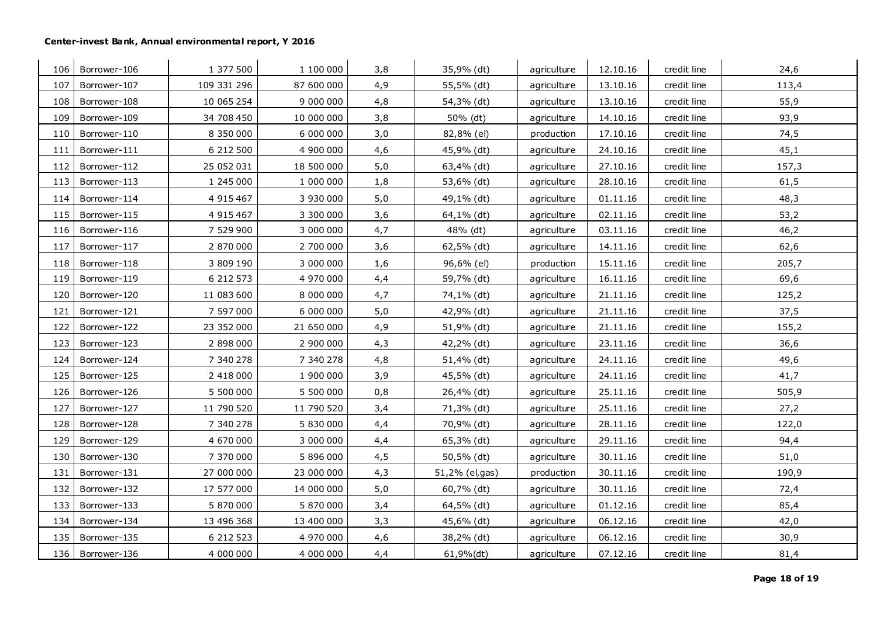| 106 | Borrower-106       | 1 377 500   | 1 100 000  | 3,8 | 35,9% (dt)     | agriculture | 12.10.16 | credit line | 24,6  |
|-----|--------------------|-------------|------------|-----|----------------|-------------|----------|-------------|-------|
| 107 | Borrower-107       | 109 331 296 | 87 600 000 | 4,9 | 55,5% (dt)     | agriculture | 13.10.16 | credit line | 113,4 |
| 108 | Borrower-108       | 10 065 254  | 9 000 000  | 4,8 | 54,3% (dt)     | agriculture | 13.10.16 | credit line | 55,9  |
| 109 | Borrower-109       | 34 708 450  | 10 000 000 | 3,8 | 50% (dt)       | agriculture | 14.10.16 | credit line | 93,9  |
| 110 | Borrower-110       | 8 350 000   | 6 000 000  | 3,0 | 82,8% (el)     | production  | 17.10.16 | credit line | 74,5  |
| 111 | Borrower-111       | 6 212 500   | 4 900 000  | 4,6 | 45,9% (dt)     | agriculture | 24.10.16 | credit line | 45,1  |
| 112 | Borrower-112       | 25 052 031  | 18 500 000 | 5,0 | 63,4% (dt)     | agriculture | 27.10.16 | credit line | 157,3 |
| 113 | Borrower-113       | 1 245 000   | 1 000 000  | 1,8 | 53,6% (dt)     | agriculture | 28.10.16 | credit line | 61,5  |
| 114 | Borrower-114       | 4 915 467   | 3 930 000  | 5,0 | 49,1% (dt)     | agriculture | 01.11.16 | credit line | 48,3  |
| 115 | Borrower-115       | 4 915 467   | 3 300 000  | 3,6 | 64,1% (dt)     | agriculture | 02.11.16 | credit line | 53,2  |
| 116 | Borrower-116       | 7 529 900   | 3 000 000  | 4,7 | 48% (dt)       | agriculture | 03.11.16 | credit line | 46,2  |
| 117 | Borrower-117       | 2 870 000   | 2 700 000  | 3,6 | 62,5% (dt)     | agriculture | 14.11.16 | credit line | 62,6  |
| 118 | Borrower-118       | 3 809 190   | 3 000 000  | 1,6 | 96,6% (el)     | production  | 15.11.16 | credit line | 205,7 |
| 119 | Borrower-119       | 6 212 573   | 4 970 000  | 4,4 | 59,7% (dt)     | agriculture | 16.11.16 | credit line | 69,6  |
| 120 | Borrower-120       | 11 083 600  | 8 000 000  | 4,7 | 74,1% (dt)     | agriculture | 21.11.16 | credit line | 125,2 |
| 121 | Borrower-121       | 7 597 000   | 6 000 000  | 5,0 | 42,9% (dt)     | agriculture | 21.11.16 | credit line | 37,5  |
| 122 | Borrower-122       | 23 352 000  | 21 650 000 | 4,9 | 51,9% (dt)     | agriculture | 21.11.16 | credit line | 155,2 |
| 123 | Borrower-123       | 2 898 000   | 2 900 000  | 4,3 | 42,2% (dt)     | agriculture | 23.11.16 | credit line | 36,6  |
| 124 | Borrower-124       | 7 340 278   | 7 340 278  | 4,8 | 51,4% (dt)     | agriculture | 24.11.16 | credit line | 49,6  |
| 125 | Borrower-125       | 2 418 000   | 1 900 000  | 3,9 | 45,5% (dt)     | agriculture | 24.11.16 | credit line | 41,7  |
| 126 | Borrower-126       | 5 500 000   | 5 500 000  | 0,8 | 26,4% (dt)     | agriculture | 25.11.16 | credit line | 505,9 |
| 127 | Borrower-127       | 11 790 520  | 11 790 520 | 3,4 | 71,3% (dt)     | agriculture | 25.11.16 | credit line | 27,2  |
| 128 | Borrower-128       | 7 340 278   | 5 830 000  | 4,4 | 70,9% (dt)     | agriculture | 28.11.16 | credit line | 122,0 |
| 129 | Borrower-129       | 4 670 000   | 3 000 000  | 4,4 | 65,3% (dt)     | agriculture | 29.11.16 | credit line | 94,4  |
| 130 | Borrower-130       | 7 370 000   | 5 896 000  | 4,5 | 50,5% (dt)     | agriculture | 30.11.16 | credit line | 51,0  |
| 131 | Borrower-131       | 27 000 000  | 23 000 000 | 4,3 | 51,2% (el,gas) | production  | 30.11.16 | credit line | 190,9 |
| 132 | Borrower-132       | 17 577 000  | 14 000 000 | 5,0 | 60,7% (dt)     | agriculture | 30.11.16 | credit line | 72,4  |
| 133 | Borrower-133       | 5 870 000   | 5 870 000  | 3,4 | 64,5% (dt)     | agriculture | 01.12.16 | credit line | 85,4  |
| 134 | Borrower-134       | 13 496 368  | 13 400 000 | 3,3 | 45,6% (dt)     | agriculture | 06.12.16 | credit line | 42,0  |
| 135 | Borrower-135       | 6 212 523   | 4 970 000  | 4,6 | 38,2% (dt)     | agriculture | 06.12.16 | credit line | 30,9  |
|     | 136   Borrower-136 | 4 000 000   | 4 000 000  | 4,4 | 61,9%(dt)      | agriculture | 07.12.16 | credit line | 81,4  |